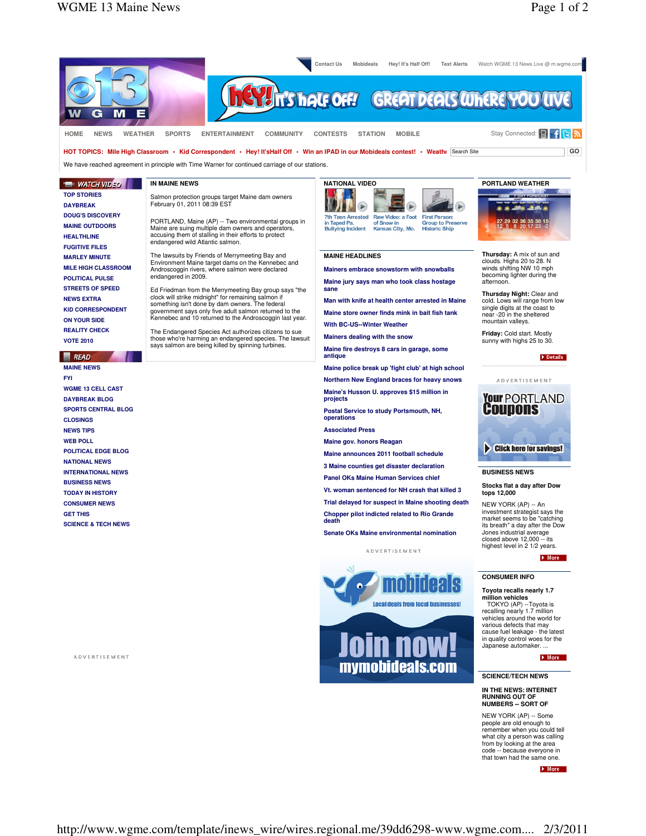

**SCIENCE/TECH NEWS**

## **IN THE NEWS: INTERNET RUNNING OUT O NUMBERS -- SORT OF**

NEW YORK (AP) -- Some people are old enough to remember when you could tell what city a person was calling from by looking at the area code -- because everyone in that town had the same one.

More